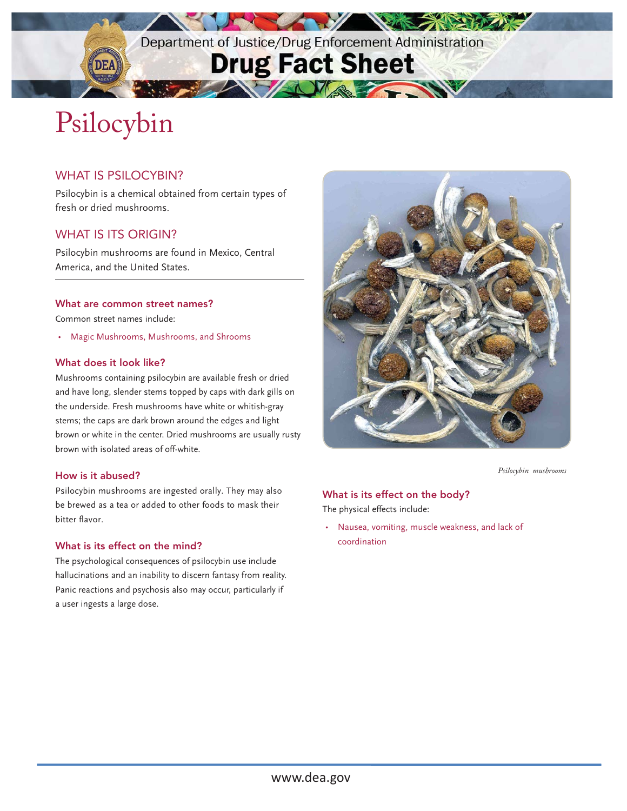Department of Justice/Drug Enforcement Administration

**The Mary 1999** 

TANA TANA

**NEWS 2** 

## **Drug Fact Sheet**

# Psilocybin

#### WHAT IS PSILOCYBIN?

Psilocybin is a chemical obtained from certain types of fresh or dried mushrooms.

#### WHAT IS ITS ORIGIN?

Psilocybin mushrooms are found in Mexico, Central America, and the United States.

#### What are common street names?

Common street names include:

• Magic Mushrooms, Mushrooms, and Shrooms

#### What does it look like?

Mushrooms containing psilocybin are available fresh or dried and have long, slender stems topped by caps with dark gills on the underside. Fresh mushrooms have white or whitish-gray stems; the caps are dark brown around the edges and light brown or white in the center. Dried mushrooms are usually rusty brown with isolated areas of off-white.

#### How is it abused?

Psilocybin mushrooms are ingested orally. They may also **What is its effect on the body?** be brewed as a tea or added to other foods to mask their The physical effects include:<br>bitter flavor.

### What is its effect on the mind?

The psychological consequences of psilocybin use include hallucinations and an inability to discern fantasy from reality. Panic reactions and psychosis also may occur, particularly if a user ingests a large dose.



*Psilocybin mushrooms*

• Nausea, vomiting, muscle weakness, and lack of